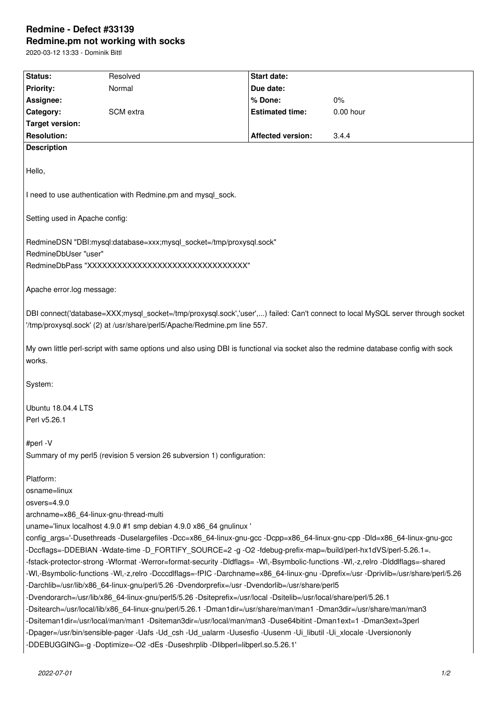# **Redmine - Defect #33139 Redmine.pm not working with socks**

2020-03-12 13:33 - Dominik Bittl

| Status:                                                                                                                                      | Resolved                                                                                                         | <b>Start date:</b>     |           |  |
|----------------------------------------------------------------------------------------------------------------------------------------------|------------------------------------------------------------------------------------------------------------------|------------------------|-----------|--|
| <b>Priority:</b>                                                                                                                             | Normal                                                                                                           | Due date:              |           |  |
| Assignee:                                                                                                                                    |                                                                                                                  | % Done:                | $0\%$     |  |
| Category:                                                                                                                                    | SCM extra                                                                                                        | <b>Estimated time:</b> | 0.00 hour |  |
| <b>Target version:</b>                                                                                                                       |                                                                                                                  |                        |           |  |
| <b>Resolution:</b>                                                                                                                           |                                                                                                                  | Affected version:      | 3.4.4     |  |
| <b>Description</b>                                                                                                                           |                                                                                                                  |                        |           |  |
|                                                                                                                                              |                                                                                                                  |                        |           |  |
| Hello,                                                                                                                                       |                                                                                                                  |                        |           |  |
|                                                                                                                                              |                                                                                                                  |                        |           |  |
| I need to use authentication with Redmine.pm and mysql_sock.                                                                                 |                                                                                                                  |                        |           |  |
| Setting used in Apache config:                                                                                                               |                                                                                                                  |                        |           |  |
| RedmineDSN "DBI:mysql:database=xxx;mysql_socket=/tmp/proxysql.sock"                                                                          |                                                                                                                  |                        |           |  |
| RedmineDbUser "user"                                                                                                                         |                                                                                                                  |                        |           |  |
|                                                                                                                                              |                                                                                                                  |                        |           |  |
| RedmineDbPass "XXXXXXXXXXXXXXXXXXXXXXXXXXXXXXXXXX                                                                                            |                                                                                                                  |                        |           |  |
| Apache error.log message:                                                                                                                    |                                                                                                                  |                        |           |  |
| DBI connect('database=XXX;mysql_socket=/tmp/proxysql.sock','user',) failed: Can't connect to local MySQL server through socket               |                                                                                                                  |                        |           |  |
| '/tmp/proxysql.sock' (2) at /usr/share/perl5/Apache/Redmine.pm line 557.                                                                     |                                                                                                                  |                        |           |  |
|                                                                                                                                              |                                                                                                                  |                        |           |  |
| My own little perl-script with same options und also using DBI is functional via socket also the redmine database config with sock<br>works. |                                                                                                                  |                        |           |  |
| System:                                                                                                                                      |                                                                                                                  |                        |           |  |
|                                                                                                                                              |                                                                                                                  |                        |           |  |
| Ubuntu 18.04.4 LTS                                                                                                                           |                                                                                                                  |                        |           |  |
| Perl v5.26.1                                                                                                                                 |                                                                                                                  |                        |           |  |
|                                                                                                                                              |                                                                                                                  |                        |           |  |
| #perl -V                                                                                                                                     |                                                                                                                  |                        |           |  |
| Summary of my perl5 (revision 5 version 26 subversion 1) configuration:                                                                      |                                                                                                                  |                        |           |  |
|                                                                                                                                              |                                                                                                                  |                        |           |  |
| Platform:                                                                                                                                    |                                                                                                                  |                        |           |  |
| osname=linux                                                                                                                                 |                                                                                                                  |                        |           |  |
| osvers=4.9.0                                                                                                                                 |                                                                                                                  |                        |           |  |
| archname=x86_64-linux-gnu-thread-multi                                                                                                       |                                                                                                                  |                        |           |  |
| uname='linux localhost 4.9.0 #1 smp debian 4.9.0 x86_64 gnulinux '                                                                           |                                                                                                                  |                        |           |  |
| config_args='-Dusethreads -Duselargefiles -Dcc=x86_64-linux-gnu-gcc -Dcpp=x86_64-linux-gnu-cpp -Dld=x86_64-linux-gnu-gcc                     |                                                                                                                  |                        |           |  |
| -Dccflags=-DDEBIAN-Wdate-time -D_FORTIFY_SOURCE=2 -g -O2 -fdebug-prefix-map=/build/perl-hx1dVS/perl-5.26.1=.                                 |                                                                                                                  |                        |           |  |
| -fstack-protector-strong -Wformat -Werror=format-security -DIdflags= -WI,-Bsymbolic-functions -WI,-z,relro -DIddIflags=-shared               |                                                                                                                  |                        |           |  |
| WI,-Bsymbolic-functions -WI,-z,relro -Dcccdlflags=-fPIC -Darchname=x86_64-linux-gnu -Dprefix=/usr -Dprivlib=/usr/share/perl/5.26-            |                                                                                                                  |                        |           |  |
| -Darchlib=/usr/lib/x86_64-linux-gnu/perl/5.26 -Dvendorprefix=/usr -Dvendorlib=/usr/share/perl5                                               |                                                                                                                  |                        |           |  |
|                                                                                                                                              | -Dvendorarch=/usr/lib/x86_64-linux-gnu/perl5/5.26 -Dsiteprefix=/usr/local -Dsitelib=/usr/local/share/perl/5.26.1 |                        |           |  |
| -Dsitearch=/usr/local/lib/x86_64-linux-gnu/perl/5.26.1 -Dman1dir=/usr/share/man/man1 -Dman3dir=/usr/share/man/man3                           |                                                                                                                  |                        |           |  |
| -Dsiteman1dir=/usr/local/man/man1 -Dsiteman3dir=/usr/local/man/man3 -Duse64bitint -Dman1ext=1 -Dman3ext=3perl                                |                                                                                                                  |                        |           |  |
| -Dpager=/usr/bin/sensible-pager -Uafs -Ud_csh -Ud_ualarm -Uusesfio -Uusenm -Ui_libutil -Ui_xlocale -Uversiononly                             |                                                                                                                  |                        |           |  |
| -DDEBUGGING=-g-Doptimize=-O2-dEs-Duseshrplib-Dlibperl=libperl.so.5.26.1'                                                                     |                                                                                                                  |                        |           |  |
|                                                                                                                                              |                                                                                                                  |                        |           |  |